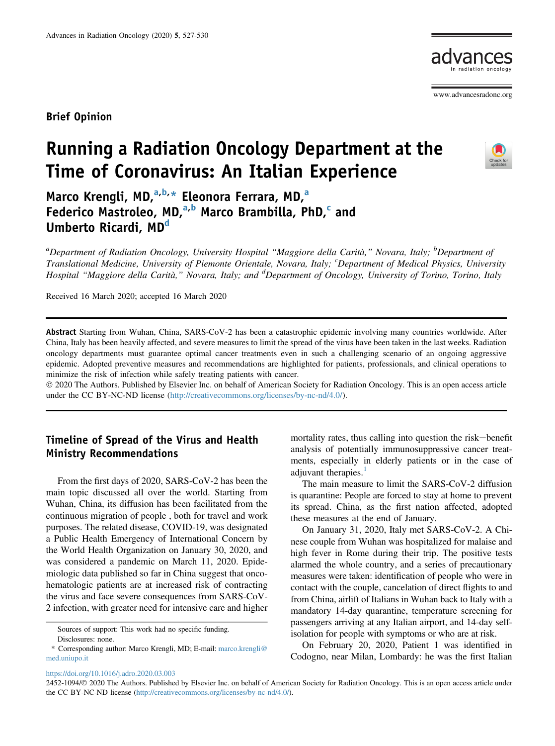Brief Opinion

# Running a Radiation Oncology Department at the Time of Coronavirus: An Italian Experience

<span id="page-0-0"></span>Marco Krengli, MD,<sup>[a,b](#page-0-0),</sup>[\\*](#page-0-1) Eleonor[a](#page-0-0) Ferrara, MD,<sup>a</sup> Federico Mastroleo, MD, $a,b$  Marco Brambilla, PhD, $c$  and Umberto Ricar[d](#page-0-0)i, MD<sup>d</sup>

<sup>a</sup>Department of Radiation Oncology, University Hospital "Maggiore della Carità," Novara, Italy; <sup>b</sup>Department of Translational Medicine, University of Piemonte Orientale, Novara, Italy; <sup>c</sup>Department of Medical Physics, University Hospital "Maggiore della Carità," Novara, Italy; and <sup>d</sup>Department of Oncology, University of Torino, Torino, Italy

Received 16 March 2020; accepted 16 March 2020

Abstract Starting from Wuhan, China, SARS-CoV-2 has been a catastrophic epidemic involving many countries worldwide. After China, Italy has been heavily affected, and severe measures to limit the spread of the virus have been taken in the last weeks. Radiation oncology departments must guarantee optimal cancer treatments even in such a challenging scenario of an ongoing aggressive epidemic. Adopted preventive measures and recommendations are highlighted for patients, professionals, and clinical operations to minimize the risk of infection while safely treating patients with cancer.

 2020 The Authors. Published by Elsevier Inc. on behalf of American Society for Radiation Oncology. This is an open access article under the CC BY-NC-ND license ([http://creativecommons.org/licenses/by-nc-nd/4.0/\).](http://creativecommons.org/licenses/by-nc-nd/4.0/)

# Timeline of Spread of the Virus and Health Ministry Recommendations

From the first days of 2020, SARS-CoV-2 has been the main topic discussed all over the world. Starting from Wuhan, China, its diffusion has been facilitated from the continuous migration of people , both for travel and work purposes. The related disease, COVID-19, was designated a Public Health Emergency of International Concern by the World Health Organization on January 30, 2020, and was considered a pandemic on March 11, 2020. Epidemiologic data published so far in China suggest that oncohematologic patients are at increased risk of contracting the virus and face severe consequences from SARS-CoV-2 infection, with greater need for intensive care and higher mortality rates, thus calling into question the risk-benefit analysis of potentially immunosuppressive cancer treatments, especially in elderly patients or in the case of adjuvant therapies.

The main measure to limit the SARS-CoV-2 diffusion is quarantine: People are forced to stay at home to prevent its spread. China, as the first nation affected, adopted these measures at the end of January.

On January 31, 2020, Italy met SARS-CoV-2. A Chinese couple from Wuhan was hospitalized for malaise and high fever in Rome during their trip. The positive tests alarmed the whole country, and a series of precautionary measures were taken: identification of people who were in contact with the couple, cancelation of direct flights to and from China, airlift of Italians in Wuhan back to Italy with a mandatory 14-day quarantine, temperature screening for passengers arriving at any Italian airport, and 14-day selfisolation for people with symptoms or who are at risk.

On February 20, 2020, Patient 1 was identified in Codogno, near Milan, Lombardy: he was the first Italian

<https://doi.org/10.1016/j.adro.2020.03.003>





<www.advancesradonc.org>

Sources of support: This work had no specific funding.

Disclosures: none.

<span id="page-0-1"></span><sup>\*</sup> Corresponding author: Marco Krengli, MD; E-mail: [marco.krengli@](mailto:marco.krengli@med.uniupo.it) [med.uniupo.it](mailto:marco.krengli@med.uniupo.it)

<sup>2452-1094/© 2020</sup> The Authors. Published by Elsevier Inc. on behalf of American Society for Radiation Oncology. This is an open access article under the CC BY-NC-ND license (<http://creativecommons.org/licenses/by-nc-nd/4.0/>).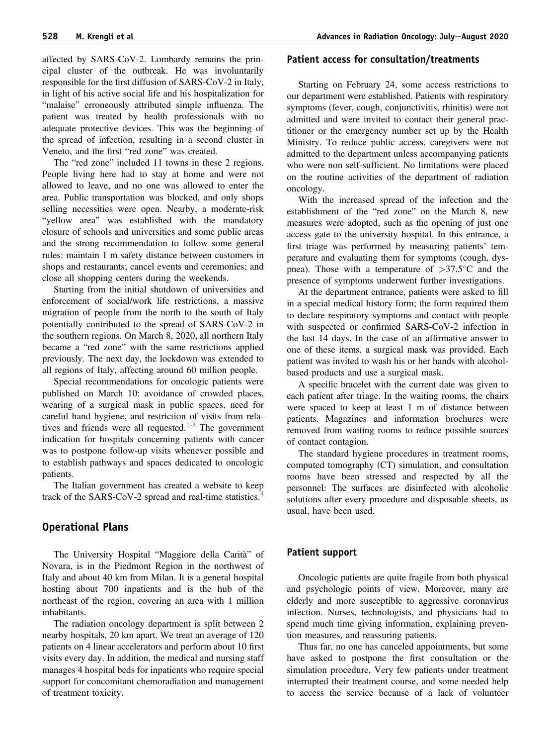affected by SARS-CoV-2. Lombardy remains the principal cluster of the outbreak. He was involuntarily responsible for the first diffusion of SARS-CoV-2 in Italy, in light of his active social life and his hospitalization for "malaise" erroneously attributed simple influenza. The patient was treated by health professionals with no adequate protective devices. This was the beginning of the spread of infection, resulting in a second cluster in Veneto, and the first "red zone" was created.

The "red zone" included 11 towns in these 2 regions. People living here had to stay at home and were not allowed to leave, and no one was allowed to enter the area. Public transportation was blocked, and only shops selling necessities were open. Nearby, a moderate-risk "yellow area" was established with the mandatory closure of schools and universities and some public areas and the strong recommendation to follow some general rules: maintain 1 m safety distance between customers in shops and restaurants; cancel events and ceremonies; and close all shopping centers during the weekends.

Starting from the initial shutdown of universities and enforcement of social/work life restrictions, a massive migration of people from the north to the south of Italy potentially contributed to the spread of SARS-CoV-2 in the southern regions. On March 8, 2020, all northern Italy became a "red zone" with the same restrictions applied previously. The next day, the lockdown was extended to all regions of Italy, affecting around 60 million people.

Special recommendations for oncologic patients were published on March 10: avoidance of crowded places, wearing of a surgical mask in public spaces, need for careful hand hygiene, and restriction of visits from relatives and friends were all requested. $1-3$  The government indication for hospitals concerning patients with cancer was to postpone follow-up visits whenever possible and to establish pathways and spaces dedicated to oncologic patients.

The Italian government has created a website to keep track of the SARS-CoV-2 spread and real-time statistics.<sup>[4](#page-3-1)</sup>

## Operational Plans

The University Hospital "Maggiore della Carità" of Novara, is in the Piedmont Region in the northwest of Italy and about 40 km from Milan. It is a general hospital hosting about 700 inpatients and is the hub of the northeast of the region, covering an area with 1 million inhabitants.

The radiation oncology department is split between 2 nearby hospitals, 20 km apart. We treat an average of 120 patients on 4 linear accelerators and perform about 10 first visits every day. In addition, the medical and nursing staff manages 4 hospital beds for inpatients who require special support for concomitant chemoradiation and management of treatment toxicity.

#### Patient access for consultation/treatments

Starting on February 24, some access restrictions to our department were established. Patients with respiratory symptoms (fever, cough, conjunctivitis, rhinitis) were not admitted and were invited to contact their general practitioner or the emergency number set up by the Health Ministry. To reduce public access, caregivers were not admitted to the department unless accompanying patients who were non self-sufficient. No limitations were placed on the routine activities of the department of radiation oncology.

With the increased spread of the infection and the establishment of the "red zone" on the March 8, new measures were adopted, such as the opening of just one access gate to the university hospital. In this entrance, a first triage was performed by measuring patients' temperature and evaluating them for symptoms (cough, dyspnea). Those with a temperature of  $>37.5^{\circ}$ C and the presence of symptoms underwent further investigations.

At the department entrance, patients were asked to fill in a special medical history form; the form required them to declare respiratory symptoms and contact with people with suspected or confirmed SARS-CoV-2 infection in the last 14 days. In the case of an affirmative answer to one of these items, a surgical mask was provided. Each patient was invited to wash his or her hands with alcoholbased products and use a surgical mask.

A specific bracelet with the current date was given to each patient after triage. In the waiting rooms, the chairs were spaced to keep at least 1 m of distance between patients. Magazines and information brochures were removed from waiting rooms to reduce possible sources of contact contagion.

The standard hygiene procedures in treatment rooms, computed tomography (CT) simulation, and consultation rooms have been stressed and respected by all the personnel: The surfaces are disinfected with alcoholic solutions after every procedure and disposable sheets, as usual, have been used.

#### Patient support

Oncologic patients are quite fragile from both physical and psychologic points of view. Moreover, many are elderly and more susceptible to aggressive coronavirus infection. Nurses, technologists, and physicians had to spend much time giving information, explaining prevention measures, and reassuring patients.

Thus far, no one has canceled appointments, but some have asked to postpone the first consultation or the simulation procedure. Very few patients under treatment interrupted their treatment course, and some needed help to access the service because of a lack of volunteer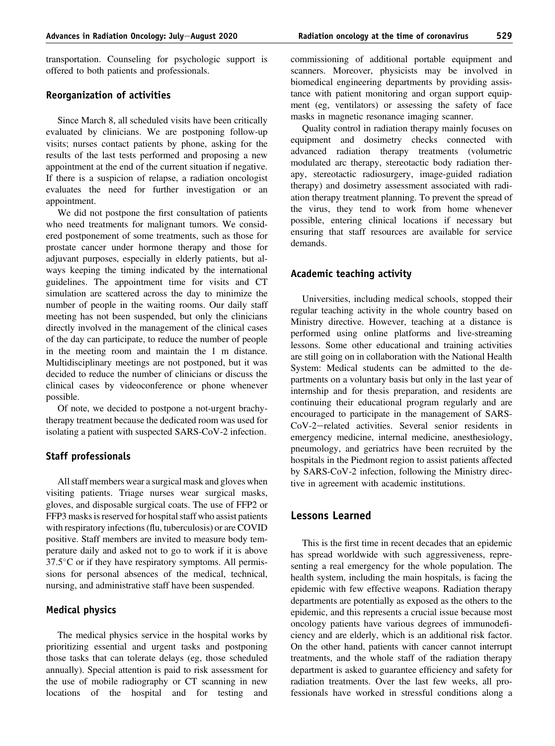transportation. Counseling for psychologic support is offered to both patients and professionals.

#### Reorganization of activities

Since March 8, all scheduled visits have been critically evaluated by clinicians. We are postponing follow-up visits; nurses contact patients by phone, asking for the results of the last tests performed and proposing a new appointment at the end of the current situation if negative. If there is a suspicion of relapse, a radiation oncologist evaluates the need for further investigation or an appointment.

We did not postpone the first consultation of patients who need treatments for malignant tumors. We considered postponement of some treatments, such as those for prostate cancer under hormone therapy and those for adjuvant purposes, especially in elderly patients, but always keeping the timing indicated by the international guidelines. The appointment time for visits and CT simulation are scattered across the day to minimize the number of people in the waiting rooms. Our daily staff meeting has not been suspended, but only the clinicians directly involved in the management of the clinical cases of the day can participate, to reduce the number of people in the meeting room and maintain the 1 m distance. Multidisciplinary meetings are not postponed, but it was decided to reduce the number of clinicians or discuss the clinical cases by videoconference or phone whenever possible.

Of note, we decided to postpone a not-urgent brachytherapy treatment because the dedicated room was used for isolating a patient with suspected SARS-CoV-2 infection.

### Staff professionals

All staff members wear a surgical mask and gloves when visiting patients. Triage nurses wear surgical masks, gloves, and disposable surgical coats. The use of FFP2 or FFP3 masks is reserved for hospital staff who assist patients with respiratory infections (flu, tuberculosis) or are COVID positive. Staff members are invited to measure body temperature daily and asked not to go to work if it is above  $37.5^{\circ}$ C or if they have respiratory symptoms. All permissions for personal absences of the medical, technical, nursing, and administrative staff have been suspended.

### Medical physics

The medical physics service in the hospital works by prioritizing essential and urgent tasks and postponing those tasks that can tolerate delays (eg, those scheduled annually). Special attention is paid to risk assessment for the use of mobile radiography or CT scanning in new locations of the hospital and for testing and commissioning of additional portable equipment and scanners. Moreover, physicists may be involved in biomedical engineering departments by providing assistance with patient monitoring and organ support equipment (eg, ventilators) or assessing the safety of face masks in magnetic resonance imaging scanner.

Quality control in radiation therapy mainly focuses on equipment and dosimetry checks connected with advanced radiation therapy treatments (volumetric modulated arc therapy, stereotactic body radiation therapy, stereotactic radiosurgery, image-guided radiation therapy) and dosimetry assessment associated with radiation therapy treatment planning. To prevent the spread of the virus, they tend to work from home whenever possible, entering clinical locations if necessary but ensuring that staff resources are available for service demands.

#### Academic teaching activity

Universities, including medical schools, stopped their regular teaching activity in the whole country based on Ministry directive. However, teaching at a distance is performed using online platforms and live-streaming lessons. Some other educational and training activities are still going on in collaboration with the National Health System: Medical students can be admitted to the departments on a voluntary basis but only in the last year of internship and for thesis preparation, and residents are continuing their educational program regularly and are encouraged to participate in the management of SARS-CoV-2-related activities. Several senior residents in emergency medicine, internal medicine, anesthesiology, pneumology, and geriatrics have been recruited by the hospitals in the Piedmont region to assist patients affected by SARS-CoV-2 infection, following the Ministry directive in agreement with academic institutions.

## Lessons Learned

This is the first time in recent decades that an epidemic has spread worldwide with such aggressiveness, representing a real emergency for the whole population. The health system, including the main hospitals, is facing the epidemic with few effective weapons. Radiation therapy departments are potentially as exposed as the others to the epidemic, and this represents a crucial issue because most oncology patients have various degrees of immunodeficiency and are elderly, which is an additional risk factor. On the other hand, patients with cancer cannot interrupt treatments, and the whole staff of the radiation therapy department is asked to guarantee efficiency and safety for radiation treatments. Over the last few weeks, all professionals have worked in stressful conditions along a